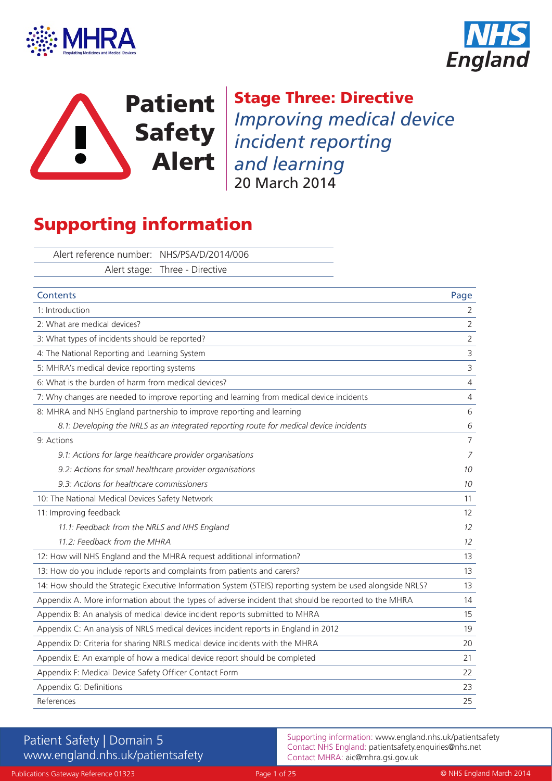





Stage Three: Directive *Improving medical device incident reporting and learning* 20 March 2014

# Supporting information

Alert reference number: NHS/PSA/D/2014/006 Alert stage: Three - Directive

| <b>Contents</b>                                                                                            | Page           |
|------------------------------------------------------------------------------------------------------------|----------------|
| 1: Introduction                                                                                            | $\overline{2}$ |
| 2: What are medical devices?                                                                               | $\overline{2}$ |
| 3: What types of incidents should be reported?                                                             | $\overline{2}$ |
| 4: The National Reporting and Learning System                                                              | $\mathsf 3$    |
| 5: MHRA's medical device reporting systems                                                                 | $\mathsf{3}$   |
| 6: What is the burden of harm from medical devices?                                                        | $\overline{4}$ |
| 7: Why changes are needed to improve reporting and learning from medical device incidents                  | $\sqrt{4}$     |
| 8: MHRA and NHS England partnership to improve reporting and learning                                      | 6              |
| 8.1: Developing the NRLS as an integrated reporting route for medical device incidents                     | 6              |
| 9: Actions                                                                                                 | $\overline{7}$ |
| 9.1: Actions for large healthcare provider organisations                                                   | 7              |
| 9.2: Actions for small healthcare provider organisations                                                   | 10             |
| 9.3: Actions for healthcare commissioners                                                                  | 10             |
| 10: The National Medical Devices Safety Network                                                            | 11             |
| 11: Improving feedback                                                                                     | 12             |
| 11.1: Feedback from the NRLS and NHS England                                                               | 12             |
| 11.2: Feedback from the MHRA                                                                               | 12             |
| 12: How will NHS England and the MHRA request additional information?                                      | 13             |
| 13: How do you include reports and complaints from patients and carers?                                    | 13             |
| 14: How should the Strategic Executive Information System (STEIS) reporting system be used alongside NRLS? | 13             |
| Appendix A. More information about the types of adverse incident that should be reported to the MHRA       | 14             |
| Appendix B: An analysis of medical device incident reports submitted to MHRA                               | 15             |
| Appendix C: An analysis of NRLS medical devices incident reports in England in 2012                        | 19             |
| Appendix D: Criteria for sharing NRLS medical device incidents with the MHRA                               | 20             |
| Appendix E: An example of how a medical device report should be completed                                  | 21             |
| Appendix F: Medical Device Safety Officer Contact Form                                                     | 22             |
| Appendix G: Definitions                                                                                    | 23             |
| References                                                                                                 | 25             |

# Patient Safety | Domain 5 www.england.nhs.uk/patientsafety

Supporting information: www.england.nhs.uk/patientsafety Contact NHS England: patientsafety.enquiries@nhs.net Contact MHRA: aic@mhra.gsi.gov.uk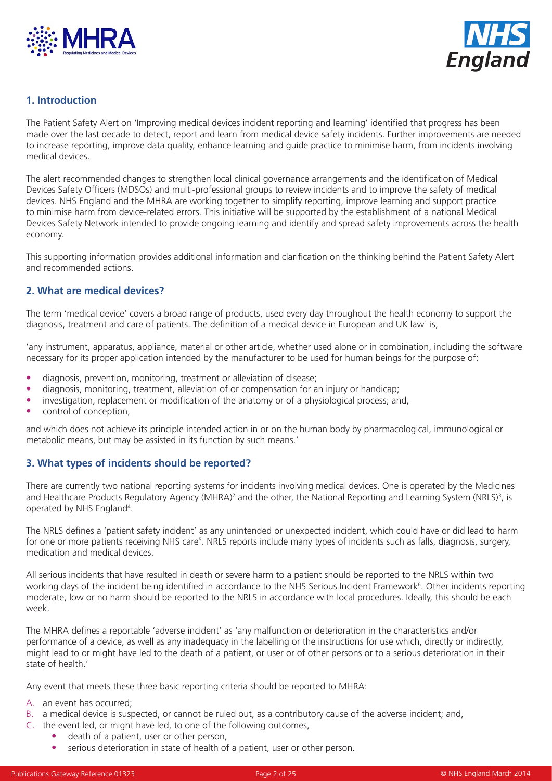



## **1. Introduction**

The Patient Safety Alert on 'Improving medical devices incident reporting and learning' identified that progress has been made over the last decade to detect, report and learn from medical device safety incidents. Further improvements are needed to increase reporting, improve data quality, enhance learning and guide practice to minimise harm, from incidents involving medical devices.

The alert recommended changes to strengthen local clinical governance arrangements and the identification of Medical Devices Safety Officers (MDSOs) and multi-professional groups to review incidents and to improve the safety of medical devices. NHS England and the MHRA are working together to simplify reporting, improve learning and support practice to minimise harm from device-related errors. This initiative will be supported by the establishment of a national Medical Devices Safety Network intended to provide ongoing learning and identify and spread safety improvements across the health economy.

This supporting information provides additional information and clarification on the thinking behind the Patient Safety Alert and recommended actions.

## **2. What are medical devices?**

The term 'medical device' covers a broad range of products, used every day throughout the health economy to support the diagnosis, treatment and care of patients. The definition of a medical device in European and UK law<sup>1</sup> is,

'any instrument, apparatus, appliance, material or other article, whether used alone or in combination, including the software necessary for its proper application intended by the manufacturer to be used for human beings for the purpose of:

- diagnosis, prevention, monitoring, treatment or alleviation of disease;
- diagnosis, monitoring, treatment, alleviation of or compensation for an injury or handicap;
- investigation, replacement or modification of the anatomy or of a physiological process; and,
- control of conception,

and which does not achieve its principle intended action in or on the human body by pharmacological, immunological or metabolic means, but may be assisted in its function by such means.'

## **3. What types of incidents should be reported?**

There are currently two national reporting systems for incidents involving medical devices. One is operated by the Medicines and Healthcare Products Regulatory Agency (MHRA)<sup>2</sup> and the other, the National Reporting and Learning System (NRLS)<sup>3</sup>, is operated by NHS England<sup>4</sup>.

The NRLS defines a 'patient safety incident' as any unintended or unexpected incident, which could have or did lead to harm for one or more patients receiving NHS care<sup>5</sup>. NRLS reports include many types of incidents such as falls, diagnosis, surgery, medication and medical devices.

All serious incidents that have resulted in death or severe harm to a patient should be reported to the NRLS within two working days of the incident being identified in accordance to the NHS Serious Incident Framework<sup>6</sup>. Other incidents reporting moderate, low or no harm should be reported to the NRLS in accordance with local procedures. Ideally, this should be each week.

The MHRA defines a reportable 'adverse incident' as 'any malfunction or deterioration in the characteristics and/or performance of a device, as well as any inadequacy in the labelling or the instructions for use which, directly or indirectly, might lead to or might have led to the death of a patient, or user or of other persons or to a serious deterioration in their state of health.'

Any event that meets these three basic reporting criteria should be reported to MHRA:

- A. an event has occurred;
- B. a medical device is suspected, or cannot be ruled out, as a contributory cause of the adverse incident; and,
- C. the event led, or might have led, to one of the following outcomes,
	- death of a patient, user or other person,
	- serious deterioration in state of health of a patient, user or other person.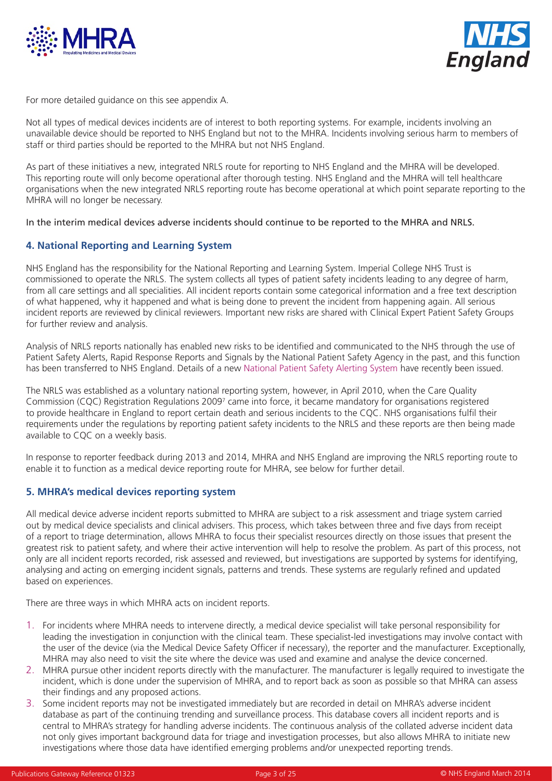



For more detailed guidance on this see appendix A.

Not all types of medical devices incidents are of interest to both reporting systems. For example, incidents involving an unavailable device should be reported to NHS England but not to the MHRA. Incidents involving serious harm to members of staff or third parties should be reported to the MHRA but not NHS England.

As part of these initiatives a new, integrated NRLS route for reporting to NHS England and the MHRA will be developed. This reporting route will only become operational after thorough testing. NHS England and the MHRA will tell healthcare organisations when the new integrated NRLS reporting route has become operational at which point separate reporting to the MHRA will no longer be necessary.

In the interim medical devices adverse incidents should continue to be reported to the MHRA and NRLS.

## **4. National Reporting and Learning System**

NHS England has the responsibility for the National Reporting and Learning System. Imperial College NHS Trust is commissioned to operate the NRLS. The system collects all types of patient safety incidents leading to any degree of harm, from all care settings and all specialities. All incident reports contain some categorical information and a free text description of what happened, why it happened and what is being done to prevent the incident from happening again. All serious incident reports are reviewed by clinical reviewers. Important new risks are shared with Clinical Expert Patient Safety Groups for further review and analysis.

Analysis of NRLS reports nationally has enabled new risks to be identified and communicated to the NHS through the use of Patient Safety Alerts, Rapid Response Reports and Signals by the National Patient Safety Agency in the past, and this function has been transferred to NHS England. Details of a new [National Patient Safety Alerting System](www.england.nhs.uk/ourwork/patientsafety/psa/national-psa-system/) have recently been issued.

The NRLS was established as a voluntary national reporting system, however, in April 2010, when the Care Quality Commission (CQC) Registration Regulations 2009<sup>7</sup> came into force, it became mandatory for organisations registered to provide healthcare in England to report certain death and serious incidents to the CQC. NHS organisations fulfil their requirements under the regulations by reporting patient safety incidents to the NRLS and these reports are then being made available to CQC on a weekly basis.

In response to reporter feedback during 2013 and 2014, MHRA and NHS England are improving the NRLS reporting route to enable it to function as a medical device reporting route for MHRA, see below for further detail.

## **5. MHRA's medical devices reporting system**

All medical device adverse incident reports submitted to MHRA are subject to a risk assessment and triage system carried out by medical device specialists and clinical advisers. This process, which takes between three and five days from receipt of a report to triage determination, allows MHRA to focus their specialist resources directly on those issues that present the greatest risk to patient safety, and where their active intervention will help to resolve the problem. As part of this process, not only are all incident reports recorded, risk assessed and reviewed, but investigations are supported by systems for identifying, analysing and acting on emerging incident signals, patterns and trends. These systems are regularly refined and updated based on experiences.

There are three ways in which MHRA acts on incident reports.

- 1. For incidents where MHRA needs to intervene directly, a medical device specialist will take personal responsibility for leading the investigation in conjunction with the clinical team. These specialist-led investigations may involve contact with the user of the device (via the Medical Device Safety Officer if necessary), the reporter and the manufacturer. Exceptionally, MHRA may also need to visit the site where the device was used and examine and analyse the device concerned.
- 2. MHRA pursue other incident reports directly with the manufacturer. The manufacturer is legally required to investigate the incident, which is done under the supervision of MHRA, and to report back as soon as possible so that MHRA can assess their findings and any proposed actions.
- 3. Some incident reports may not be investigated immediately but are recorded in detail on MHRA's adverse incident database as part of the continuing trending and surveillance process. This database covers all incident reports and is central to MHRA's strategy for handling adverse incidents. The continuous analysis of the collated adverse incident data not only gives important background data for triage and investigation processes, but also allows MHRA to initiate new investigations where those data have identified emerging problems and/or unexpected reporting trends.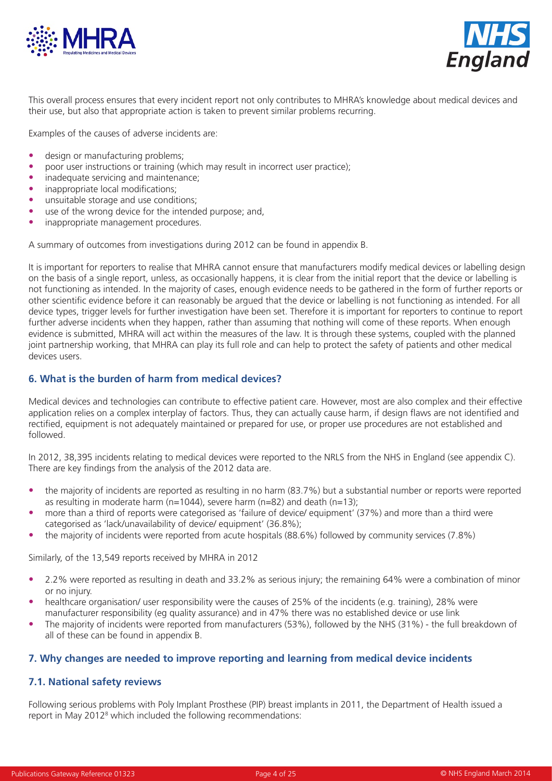



This overall process ensures that every incident report not only contributes to MHRA's knowledge about medical devices and their use, but also that appropriate action is taken to prevent similar problems recurring.

Examples of the causes of adverse incidents are:

- design or manufacturing problems;
- poor user instructions or training (which may result in incorrect user practice);
- inadequate servicing and maintenance;
- inappropriate local modifications;
- unsuitable storage and use conditions;
- use of the wrong device for the intended purpose; and,
- inappropriate management procedures.

A summary of outcomes from investigations during 2012 can be found in appendix B.

It is important for reporters to realise that MHRA cannot ensure that manufacturers modify medical devices or labelling design on the basis of a single report, unless, as occasionally happens, it is clear from the initial report that the device or labelling is not functioning as intended. In the majority of cases, enough evidence needs to be gathered in the form of further reports or other scientific evidence before it can reasonably be argued that the device or labelling is not functioning as intended. For all device types, trigger levels for further investigation have been set. Therefore it is important for reporters to continue to report further adverse incidents when they happen, rather than assuming that nothing will come of these reports. When enough evidence is submitted, MHRA will act within the measures of the law. It is through these systems, coupled with the planned joint partnership working, that MHRA can play its full role and can help to protect the safety of patients and other medical devices users.

## **6. What is the burden of harm from medical devices?**

Medical devices and technologies can contribute to effective patient care. However, most are also complex and their effective application relies on a complex interplay of factors. Thus, they can actually cause harm, if design flaws are not identified and rectified, equipment is not adequately maintained or prepared for use, or proper use procedures are not established and followed.

In 2012, 38,395 incidents relating to medical devices were reported to the NRLS from the NHS in England (see appendix C). There are key findings from the analysis of the 2012 data are.

- the majority of incidents are reported as resulting in no harm (83.7%) but a substantial number or reports were reported as resulting in moderate harm (n=1044), severe harm (n=82) and death (n=13);
- more than a third of reports were categorised as 'failure of device/ equipment' (37%) and more than a third were categorised as 'lack/unavailability of device/ equipment' (36.8%);
- the majority of incidents were reported from acute hospitals (88.6%) followed by community services (7.8%)

Similarly, of the 13,549 reports received by MHRA in 2012

- 2.2% were reported as resulting in death and 33.2% as serious injury; the remaining 64% were a combination of minor or no injury.
- healthcare organisation/ user responsibility were the causes of 25% of the incidents (e.g. training), 28% were manufacturer responsibility (eg quality assurance) and in 47% there was no established device or use link
- The majority of incidents were reported from manufacturers (53%), followed by the NHS (31%) the full breakdown of all of these can be found in appendix B.

#### **7. Why changes are needed to improve reporting and learning from medical device incidents**

#### **7.1. National safety reviews**

Following serious problems with Poly Implant Prosthese (PIP) breast implants in 2011, the Department of Health issued a report in May 2012<sup>8</sup> which included the following recommendations: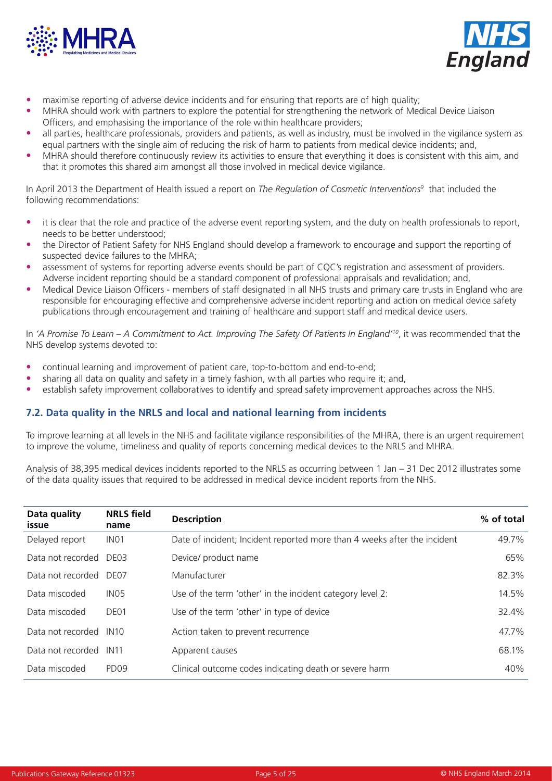



- maximise reporting of adverse device incidents and for ensuring that reports are of high quality;
- MHRA should work with partners to explore the potential for strengthening the network of Medical Device Liaison Officers, and emphasising the importance of the role within healthcare providers;
- all parties, healthcare professionals, providers and patients, as well as industry, must be involved in the vigilance system as equal partners with the single aim of reducing the risk of harm to patients from medical device incidents; and,
- MHRA should therefore continuously review its activities to ensure that everything it does is consistent with this aim, and that it promotes this shared aim amongst all those involved in medical device vigilance.

In April 2013 the Department of Health issued a report on *The Regulation of Cosmetic Interventions9* that included the following recommendations:

- it is clear that the role and practice of the adverse event reporting system, and the duty on health professionals to report, needs to be better understood;
- the Director of Patient Safety for NHS England should develop a framework to encourage and support the reporting of suspected device failures to the MHRA;
- assessment of systems for reporting adverse events should be part of CQC's registration and assessment of providers. Adverse incident reporting should be a standard component of professional appraisals and revalidation; and,
- Medical Device Liaison Officers members of staff designated in all NHS trusts and primary care trusts in England who are responsible for encouraging effective and comprehensive adverse incident reporting and action on medical device safety publications through encouragement and training of healthcare and support staff and medical device users.

In *'A Promise To Learn – A Commitment to Act. Improving The Safety Of Patients In England'10*, it was recommended that the NHS develop systems devoted to:

- continual learning and improvement of patient care, top-to-bottom and end-to-end;
- sharing all data on quality and safety in a timely fashion, with all parties who require it; and,
- establish safety improvement collaboratives to identify and spread safety improvement approaches across the NHS.

## **7.2. Data quality in the NRLS and local and national learning from incidents**

To improve learning at all levels in the NHS and facilitate vigilance responsibilities of the MHRA, there is an urgent requirement to improve the volume, timeliness and quality of reports concerning medical devices to the NRLS and MHRA.

Analysis of 38,395 medical devices incidents reported to the NRLS as occurring between 1 Jan – 31 Dec 2012 illustrates some of the data quality issues that required to be addressed in medical device incident reports from the NHS.

| Data quality<br>issue  | <b>NRLS</b> field<br>name | <b>Description</b>                                                       | % of total |
|------------------------|---------------------------|--------------------------------------------------------------------------|------------|
| Delayed report         | IN <sub>01</sub>          | Date of incident; Incident reported more than 4 weeks after the incident | 49.7%      |
| Data not recorded DE03 |                           | Device/ product name                                                     | 65%        |
| Data not recorded DE07 |                           | Manufacturer                                                             | 82.3%      |
| Data miscoded          | IN <sub>05</sub>          | Use of the term 'other' in the incident category level 2:                | 14.5%      |
| Data miscoded          | DE01                      | Use of the term 'other' in type of device                                | 32.4%      |
| Data not recorded      | IN10                      | Action taken to prevent recurrence                                       | 47.7%      |
| Data not recorded      | IN11                      | Apparent causes                                                          | 68.1%      |
| Data miscoded          | PD <sub>09</sub>          | Clinical outcome codes indicating death or severe harm                   | 40%        |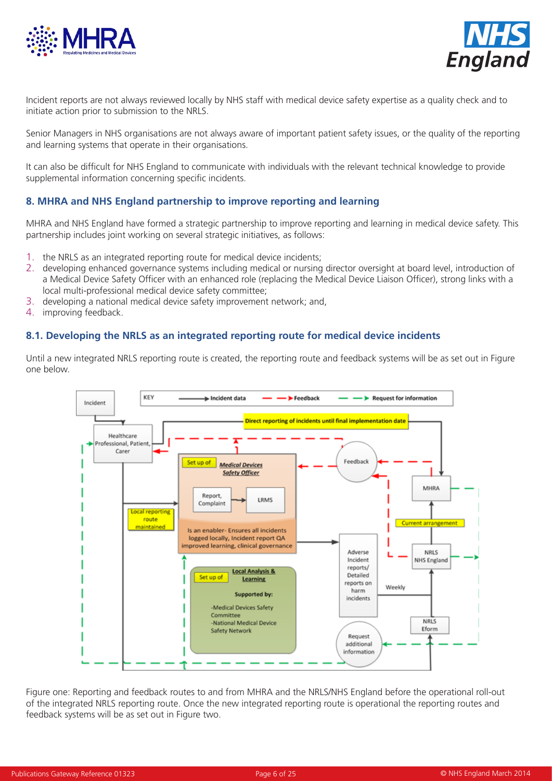



Incident reports are not always reviewed locally by NHS staff with medical device safety expertise as a quality check and to initiate action prior to submission to the NRLS.

Senior Managers in NHS organisations are not always aware of important patient safety issues, or the quality of the reporting and learning systems that operate in their organisations.

It can also be difficult for NHS England to communicate with individuals with the relevant technical knowledge to provide supplemental information concerning specific incidents.

## **8. MHRA and NHS England partnership to improve reporting and learning**

MHRA and NHS England have formed a strategic partnership to improve reporting and learning in medical device safety. This partnership includes joint working on several strategic initiatives, as follows:

- 1. the NRLS as an integrated reporting route for medical device incidents;
- 2. developing enhanced governance systems including medical or nursing director oversight at board level, introduction of a Medical Device Safety Officer with an enhanced role (replacing the Medical Device Liaison Officer), strong links with a local multi-professional medical device safety committee;
- 3. developing a national medical device safety improvement network; and,
- 4. improving feedback.

## **8.1. Developing the NRLS as an integrated reporting route for medical device incidents**

Until a new integrated NRLS reporting route is created, the reporting route and feedback systems will be as set out in Figure one below.



Figure one: Reporting and feedback routes to and from MHRA and the NRLS/NHS England before the operational roll-out of the integrated NRLS reporting route. Once the new integrated reporting route is operational the reporting routes and feedback systems will be as set out in Figure two.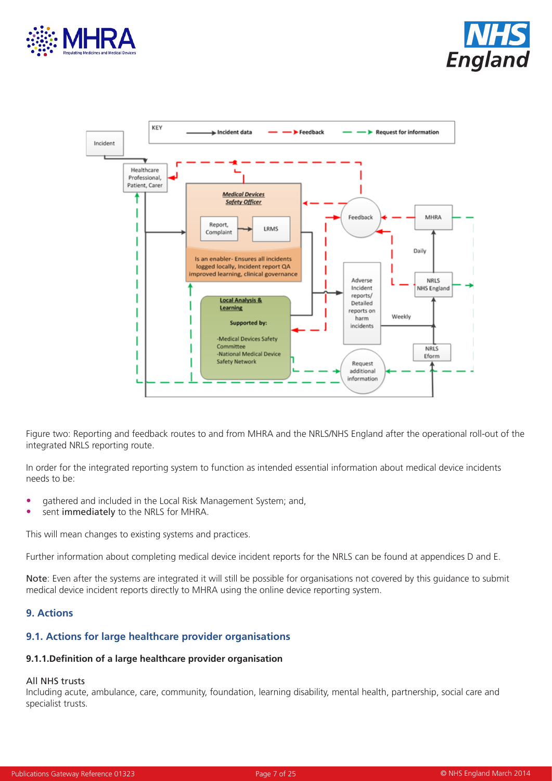





Figure two: Reporting and feedback routes to and from MHRA and the NRLS/NHS England after the operational roll-out of the integrated NRLS reporting route.

In order for the integrated reporting system to function as intended essential information about medical device incidents needs to be:

- gathered and included in the Local Risk Management System; and,
- sent immediately to the NRLS for MHRA.

This will mean changes to existing systems and practices.

Further information about completing medical device incident reports for the NRLS can be found at appendices D and E.

Note: Even after the systems are integrated it will still be possible for organisations not covered by this guidance to submit medical device incident reports directly to MHRA using the online device reporting system.

## **9. Actions**

## **9.1. Actions for large healthcare provider organisations**

#### **9.1.1.Definition of a large healthcare provider organisation**

#### All NHS trusts

Including acute, ambulance, care, community, foundation, learning disability, mental health, partnership, social care and specialist trusts.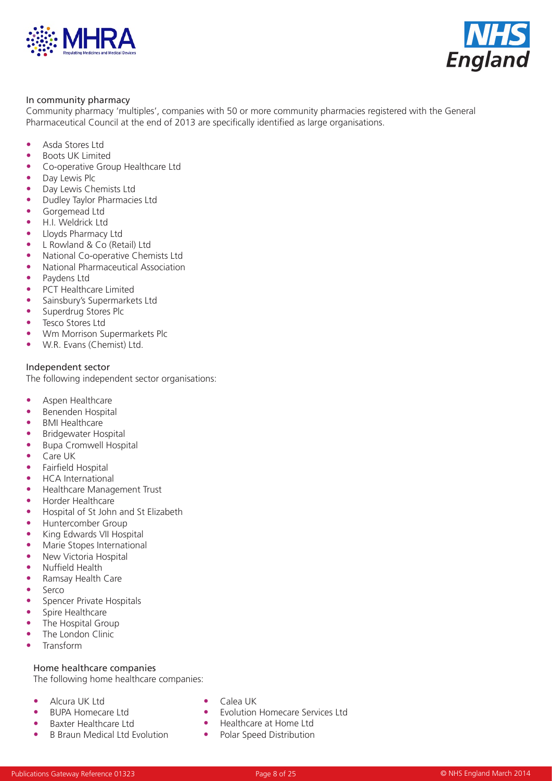



#### In community pharmacy

Community pharmacy 'multiples', companies with 50 or more community pharmacies registered with the General Pharmaceutical Council at the end of 2013 are specifically identified as large organisations.

- Asda Stores Ltd
- Boots UK Limited
- Co-operative Group Healthcare Ltd
- Day Lewis Plc
- Day Lewis Chemists Ltd
- Dudley Taylor Pharmacies Ltd
- Gorgemead Ltd
- H.I. Weldrick Ltd
- Lloyds Pharmacy Ltd
- L Rowland & Co (Retail) Ltd
- National Co-operative Chemists Ltd
- National Pharmaceutical Association
- Paydens Ltd
- PCT Healthcare Limited
- Sainsbury's Supermarkets Ltd
- Superdrug Stores Plc
- Tesco Stores Ltd
- Wm Morrison Supermarkets Plc
- W.R. Evans (Chemist) Ltd.

#### Independent sector

The following independent sector organisations:

- Aspen Healthcare<br>• Benenden Hospita
- Benenden Hospital
- BMI Healthcare
- Bridgewater Hospital
- Bupa Cromwell Hospital
- Care UK
- Fairfield Hospital
- HCA International
- Healthcare Management Trust
- Horder Healthcare
- Hospital of St John and St Elizabeth
- Huntercomber Group
- King Edwards VII Hospital
- Marie Stopes International
- New Victoria Hospital
- Nuffield Health
- Ramsay Health Care
- Serco
- Spencer Private Hospitals
- Spire Healthcare
- The Hospital Group
- The London Clinic
- Transform

## Home healthcare companies

The following home healthcare companies:

- Alcura UK Ltd
- BUPA Homecare Ltd
- Baxter Healthcare Ltd
- B Braun Medical Ltd Evolution
- Calea UK
- Evolution Homecare Services Ltd
- Healthcare at Home Ltd
- Polar Speed Distribution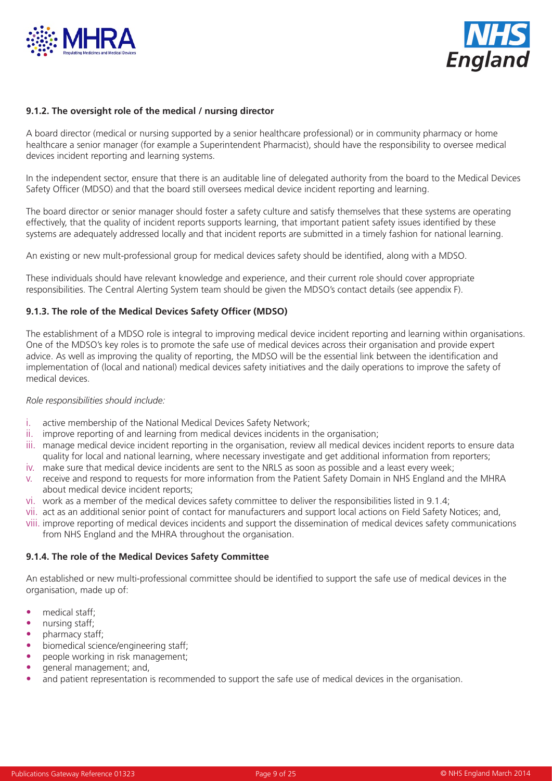



#### **9.1.2. The oversight role of the medical / nursing director**

A board director (medical or nursing supported by a senior healthcare professional) or in community pharmacy or home healthcare a senior manager (for example a Superintendent Pharmacist), should have the responsibility to oversee medical devices incident reporting and learning systems.

In the independent sector, ensure that there is an auditable line of delegated authority from the board to the Medical Devices Safety Officer (MDSO) and that the board still oversees medical device incident reporting and learning.

The board director or senior manager should foster a safety culture and satisfy themselves that these systems are operating effectively, that the quality of incident reports supports learning, that important patient safety issues identified by these systems are adequately addressed locally and that incident reports are submitted in a timely fashion for national learning.

An existing or new mult-professional group for medical devices safety should be identified, along with a MDSO.

These individuals should have relevant knowledge and experience, and their current role should cover appropriate responsibilities. The Central Alerting System team should be given the MDSO's contact details (see appendix F).

#### **9.1.3. The role of the Medical Devices Safety Officer (MDSO)**

The establishment of a MDSO role is integral to improving medical device incident reporting and learning within organisations. One of the MDSO's key roles is to promote the safe use of medical devices across their organisation and provide expert advice. As well as improving the quality of reporting, the MDSO will be the essential link between the identification and implementation of (local and national) medical devices safety initiatives and the daily operations to improve the safety of medical devices.

#### *Role responsibilities should include:*

- i. active membership of the National Medical Devices Safety Network;
- ii. improve reporting of and learning from medical devices incidents in the organisation;
- iii. manage medical device incident reporting in the organisation, review all medical devices incident reports to ensure data quality for local and national learning, where necessary investigate and get additional information from reporters;
- iv. make sure that medical device incidents are sent to the NRLS as soon as possible and a least every week;
- v. receive and respond to requests for more information from the Patient Safety Domain in NHS England and the MHRA about medical device incident reports;
- vi. work as a member of the medical devices safety committee to deliver the responsibilities listed in 9.1.4;
- vii. act as an additional senior point of contact for manufacturers and support local actions on Field Safety Notices; and,
- viii. improve reporting of medical devices incidents and support the dissemination of medical devices safety communications from NHS England and the MHRA throughout the organisation.

#### **9.1.4. The role of the Medical Devices Safety Committee**

An established or new multi-professional committee should be identified to support the safe use of medical devices in the organisation, made up of:

- medical staff;
- nursing staff;
- pharmacy staff;
- biomedical science/engineering staff;
- people working in risk management;
- general management; and,
- and patient representation is recommended to support the safe use of medical devices in the organisation.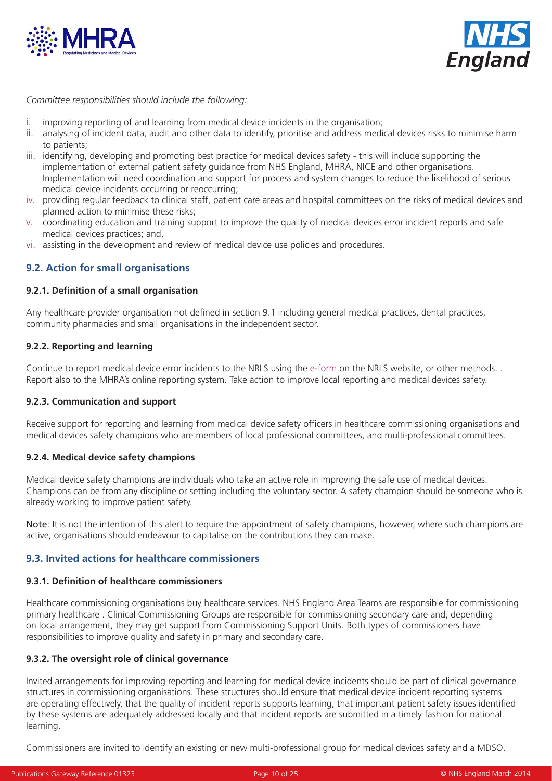



*Committee responsibilities should include the following:* 

- i. improving reporting of and learning from medical device incidents in the organisation;
- ii. analysing of incident data, audit and other data to identify, prioritise and address medical devices risks to minimise harm to patients;
- iii. identifying, developing and promoting best practice for medical devices safety this will include supporting the implementation of external patient safety guidance from NHS England, MHRA, NICE and other organisations. Implementation will need coordination and support for process and system changes to reduce the likelihood of serious medical device incidents occurring or reoccurring;
- iv. providing regular feedback to clinical staff, patient care areas and hospital committees on the risks of medical devices and planned action to minimise these risks;
- v. coordinating education and training support to improve the quality of medical devices error incident reports and safe medical devices practices; and,
- vi. assisting in the development and review of medical device use policies and procedures.

# **9.2. Action for small organisations**

#### **9.2.1. Definition of a small organisation**

Any healthcare provider organisation not defined in section 9.1 including general medical practices, dental practices, community pharmacies and small organisations in the independent sector.

#### **9.2.2. Reporting and learning**

Continue to report medical device error incidents to the NRLS using the [e-form](www.nrls.npsa.nhs.uk/report-a-patient-safety-incident/) on the NRLS website, or other methods. . Report also to the MHRA's online reporting system. Take action to improve local reporting and medical devices safety.

#### **9.2.3. Communication and support**

Receive support for reporting and learning from medical device safety officers in healthcare commissioning organisations and medical devices safety champions who are members of local professional committees, and multi-professional committees.

#### **9.2.4. Medical device safety champions**

Medical device safety champions are individuals who take an active role in improving the safe use of medical devices. Champions can be from any discipline or setting including the voluntary sector. A safety champion should be someone who is already working to improve patient safety.

Note: It is not the intention of this alert to require the appointment of safety champions, however, where such champions are active, organisations should endeavour to capitalise on the contributions they can make.

## **9.3. Invited actions for healthcare commissioners**

#### **9.3.1. Definition of healthcare commissioners**

Healthcare commissioning organisations buy healthcare services. NHS England Area Teams are responsible for commissioning primary healthcare . Clinical Commissioning Groups are responsible for commissioning secondary care and, depending on local arrangement, they may get support from Commissioning Support Units. Both types of commissioners have responsibilities to improve quality and safety in primary and secondary care.

#### **9.3.2. The oversight role of clinical governance**

Invited arrangements for improving reporting and learning for medical device incidents should be part of clinical governance structures in commissioning organisations. These structures should ensure that medical device incident reporting systems are operating effectively, that the quality of incident reports supports learning, that important patient safety issues identified by these systems are adequately addressed locally and that incident reports are submitted in a timely fashion for national learning.

Commissioners are invited to identify an existing or new multi-professional group for medical devices safety and a MDSO.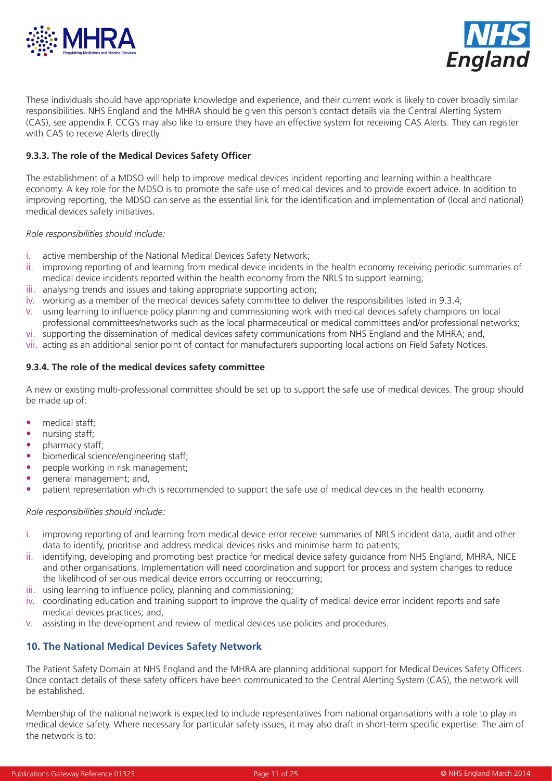



These individuals should have appropriate knowledge and experience, and their current work is likely to cover broadly similar responsibilities. NHS England and the MHRA should be given this person's contact details via the Central Alerting System (CAS), see appendix F. CCG's may also like to ensure they have an effective system for receiving CAS Alerts. They can register with CAS to receive Alerts directly.

## **9.3.3. The role of the Medical Devices Safety Officer**

The establishment of a MDSO will help to improve medical devices incident reporting and learning within a healthcare economy. A key role for the MDSO is to promote the safe use of medical devices and to provide expert advice. In addition to improving reporting, the MDSO can serve as the essential link for the identification and implementation of (local and national) medical devices safety initiatives.

#### *Role responsibilities should include:*

- i. active membership of the National Medical Devices Safety Network;
- ii. improving reporting of and learning from medical device incidents in the health economy receiving periodic summaries of medical device incidents reported within the health economy from the NRLS to support learning;
- iii. analysing trends and issues and taking appropriate supporting action;
- iv. working as a member of the medical devices safety committee to deliver the responsibilities listed in 9.3.4;
- v. using learning to influence policy planning and commissioning work with medical devices safety champions on local professional committees/networks such as the local pharmaceutical or medical committees and/or professional networks;
- vi. supporting the dissemination of medical devices safety communications from NHS England and the MHRA; and,
- vii. acting as an additional senior point of contact for manufacturers supporting local actions on Field Safety Notices.

#### **9.3.4. The role of the medical devices safety committee**

A new or existing multi-professional committee should be set up to support the safe use of medical devices. The group should be made up of:

- medical staff;
- nursing staff;
- pharmacy staff;
- biomedical science/engineering staff;
- people working in risk management;
- general management; and,
- patient representation which is recommended to support the safe use of medical devices in the health economy.

#### *Role responsibilities should include:*

- i. improving reporting of and learning from medical device error receive summaries of NRLS incident data, audit and other data to identify, prioritise and address medical devices risks and minimise harm to patients;
- ii. identifying, developing and promoting best practice for medical device safety guidance from NHS England, MHRA, NICE and other organisations. Implementation will need coordination and support for process and system changes to reduce the likelihood of serious medical device errors occurring or reoccurring;
- iii. using learning to influence policy, planning and commissioning;
- iv. coordinating education and training support to improve the quality of medical device error incident reports and safe medical devices practices; and,
- v. assisting in the development and review of medical devices use policies and procedures.

## **10. The National Medical Devices Safety Network**

The Patient Safety Domain at NHS England and the MHRA are planning additional support for Medical Devices Safety Officers. Once contact details of these safety officers have been communicated to the Central Alerting System (CAS), the network will be established.

Membership of the national network is expected to include representatives from national organisations with a role to play in medical device safety. Where necessary for particular safety issues, it may also draft in short-term specific expertise. The aim of the network is to: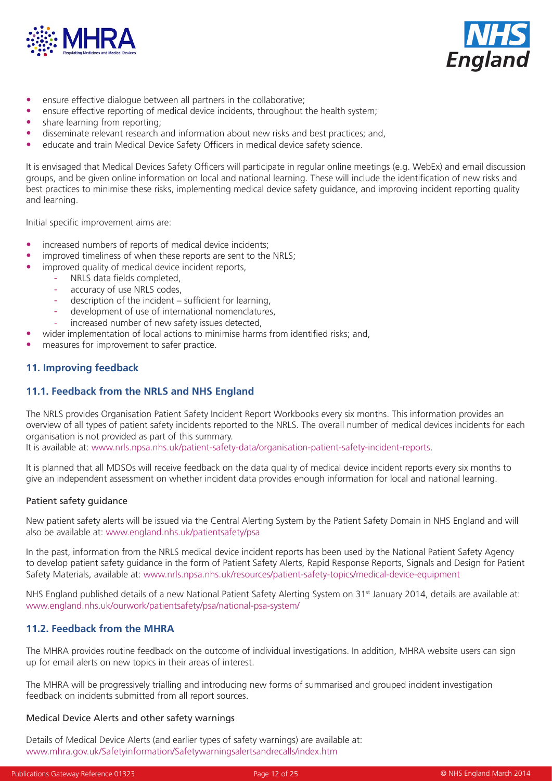



- ensure effective dialogue between all partners in the collaborative;
- ensure effective reporting of medical device incidents, throughout the health system;
- share learning from reporting;
- disseminate relevant research and information about new risks and best practices; and,
- educate and train Medical Device Safety Officers in medical device safety science.

It is envisaged that Medical Devices Safety Officers will participate in regular online meetings (e.g. WebEx) and email discussion groups, and be given online information on local and national learning. These will include the identification of new risks and best practices to minimise these risks, implementing medical device safety guidance, and improving incident reporting quality and learning.

Initial specific improvement aims are:

- increased numbers of reports of medical device incidents;
- improved timeliness of when these reports are sent to the NRLS;
- improved quality of medical device incident reports,
	- NRLS data fields completed,
	- accuracy of use NRLS codes,
	- $description of the incident sufficient for learning,$
	- development of use of international nomenclatures,
	- increased number of new safety issues detected,
- wider implementation of local actions to minimise harms from identified risks; and,
- measures for improvement to safer practice.

## **11. Improving feedback**

## **11.1. Feedback from the NRLS and NHS England**

The NRLS provides Organisation Patient Safety Incident Report Workbooks every six months. This information provides an overview of all types of patient safety incidents reported to the NRLS. The overall number of medical devices incidents for each organisation is not provided as part of this summary.

It is available at: www.nrls.npsa.nhs.uk/patient-safety-data/organisation-patient-safety-incident-reports.

It is planned that all MDSOs will receive feedback on the data quality of medical device incident reports every six months to give an independent assessment on whether incident data provides enough information for local and national learning.

#### Patient safety guidance

New patient safety alerts will be issued via the Central Alerting System by the Patient Safety Domain in NHS England and will also be available at: www.england.nhs.uk/patientsafety/psa

In the past, information from the NRLS medical device incident reports has been used by the National Patient Safety Agency to develop patient safety guidance in the form of Patient Safety Alerts, Rapid Response Reports, Signals and Design for Patient Safety Materials, available at: www.nrls.npsa.nhs.uk/resources/patient-safety-topics/medical-device-equipment

NHS England published details of a new National Patient Safety Alerting System on 31<sup>st</sup> January 2014, details are available at: www.england.nhs.uk/ourwork/patientsafety/psa/national-psa-system/

## **11.2. Feedback from the MHRA**

The MHRA provides routine feedback on the outcome of individual investigations. In addition, MHRA website users can sign up for email alerts on new topics in their areas of interest.

The MHRA will be progressively trialling and introducing new forms of summarised and grouped incident investigation feedback on incidents submitted from all report sources.

#### Medical Device Alerts and other safety warnings

Details of Medical Device Alerts (and earlier types of safety warnings) are available at: www.mhra.gov.uk/Safetyinformation/Safetywarningsalertsandrecalls/index.htm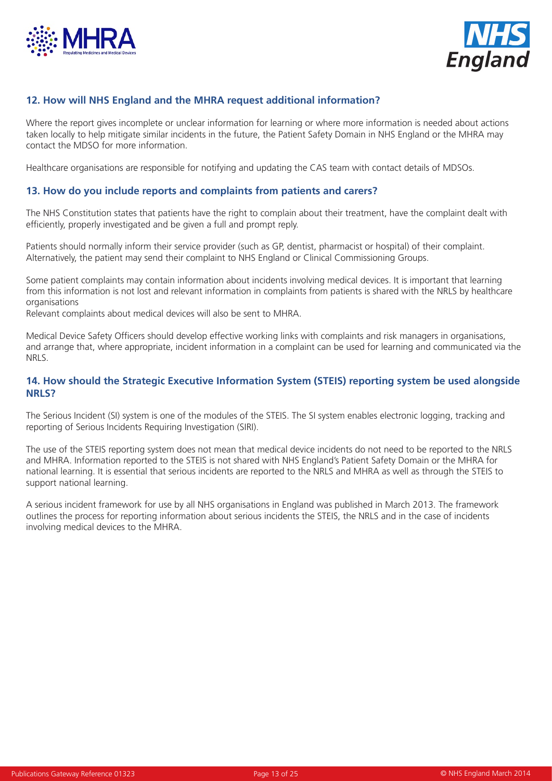



# **12. How will NHS England and the MHRA request additional information?**

Where the report gives incomplete or unclear information for learning or where more information is needed about actions taken locally to help mitigate similar incidents in the future, the Patient Safety Domain in NHS England or the MHRA may contact the MDSO for more information.

Healthcare organisations are responsible for notifying and updating the CAS team with contact details of MDSOs.

## **13. How do you include reports and complaints from patients and carers?**

The NHS Constitution states that patients have the right to complain about their treatment, have the complaint dealt with efficiently, properly investigated and be given a full and prompt reply.

Patients should normally inform their service provider (such as GP, dentist, pharmacist or hospital) of their complaint. Alternatively, the patient may send their complaint to NHS England or Clinical Commissioning Groups.

Some patient complaints may contain information about incidents involving medical devices. It is important that learning from this information is not lost and relevant information in complaints from patients is shared with the NRLS by healthcare organisations

Relevant complaints about medical devices will also be sent to MHRA.

Medical Device Safety Officers should develop effective working links with complaints and risk managers in organisations, and arrange that, where appropriate, incident information in a complaint can be used for learning and communicated via the NRLS.

## **14. How should the Strategic Executive Information System (STEIS) reporting system be used alongside NRLS?**

The Serious Incident (SI) system is one of the modules of the STEIS. The SI system enables electronic logging, tracking and reporting of Serious Incidents Requiring Investigation (SIRI).

The use of the STEIS reporting system does not mean that medical device incidents do not need to be reported to the NRLS and MHRA. Information reported to the STEIS is not shared with NHS England's Patient Safety Domain or the MHRA for national learning. It is essential that serious incidents are reported to the NRLS and MHRA as well as through the STEIS to support national learning.

A serious incident framework for use by all NHS organisations in England was published in March 2013. The framework outlines the process for reporting information about serious incidents the STEIS, the NRLS and in the case of incidents involving medical devices to the MHRA.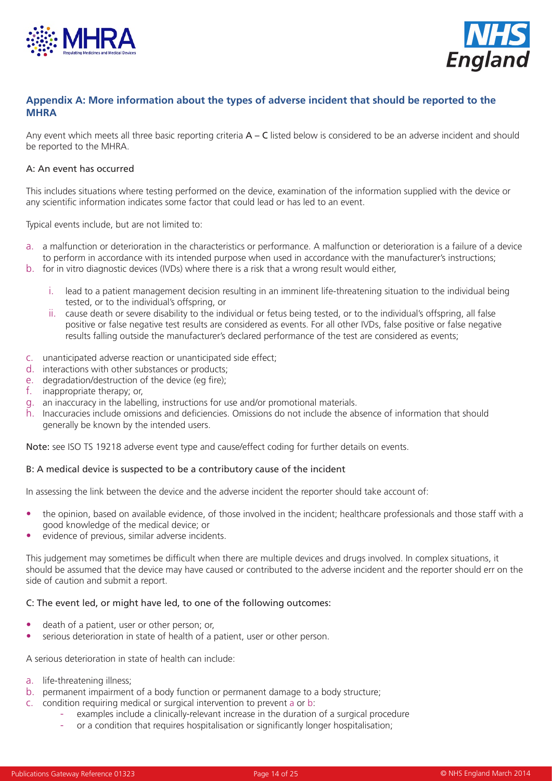



## **Appendix A: More information about the types of adverse incident that should be reported to the MHRA**

Any event which meets all three basic reporting criteria  $A - C$  listed below is considered to be an adverse incident and should be reported to the MHRA.

#### A: An event has occurred

This includes situations where testing performed on the device, examination of the information supplied with the device or any scientific information indicates some factor that could lead or has led to an event.

Typical events include, but are not limited to:

- a. a malfunction or deterioration in the characteristics or performance. A malfunction or deterioration is a failure of a device to perform in accordance with its intended purpose when used in accordance with the manufacturer's instructions;
- b. for in vitro diagnostic devices (IVDs) where there is a risk that a wrong result would either,
	- i. lead to a patient management decision resulting in an imminent life-threatening situation to the individual being tested, or to the individual's offspring, or
	- ii. cause death or severe disability to the individual or fetus being tested, or to the individual's offspring, all false positive or false negative test results are considered as events. For all other IVDs, false positive or false negative results falling outside the manufacturer's declared performance of the test are considered as events;
- c. unanticipated adverse reaction or unanticipated side effect;
- d. interactions with other substances or products;
- e. degradation/destruction of the device (eg fire);
- f. inappropriate therapy; or,
- g. an inaccuracy in the labelling, instructions for use and/or promotional materials.
- h. Inaccuracies include omissions and deficiencies. Omissions do not include the absence of information that should generally be known by the intended users.

Note: see ISO TS 19218 adverse event type and cause/effect coding for further details on events.

#### B: A medical device is suspected to be a contributory cause of the incident

In assessing the link between the device and the adverse incident the reporter should take account of:

- the opinion, based on available evidence, of those involved in the incident; healthcare professionals and those staff with a good knowledge of the medical device; or
- evidence of previous, similar adverse incidents.

This judgement may sometimes be difficult when there are multiple devices and drugs involved. In complex situations, it should be assumed that the device may have caused or contributed to the adverse incident and the reporter should err on the side of caution and submit a report.

#### C: The event led, or might have led, to one of the following outcomes:

- death of a patient, user or other person; or,
- serious deterioration in state of health of a patient, user or other person.

A serious deterioration in state of health can include:

- a. life-threatening illness;
- b. permanent impairment of a body function or permanent damage to a body structure;
- c. condition requiring medical or surgical intervention to prevent a or b:
	- examples include a clinically-relevant increase in the duration of a surgical procedure
	- or a condition that requires hospitalisation or significantly longer hospitalisation;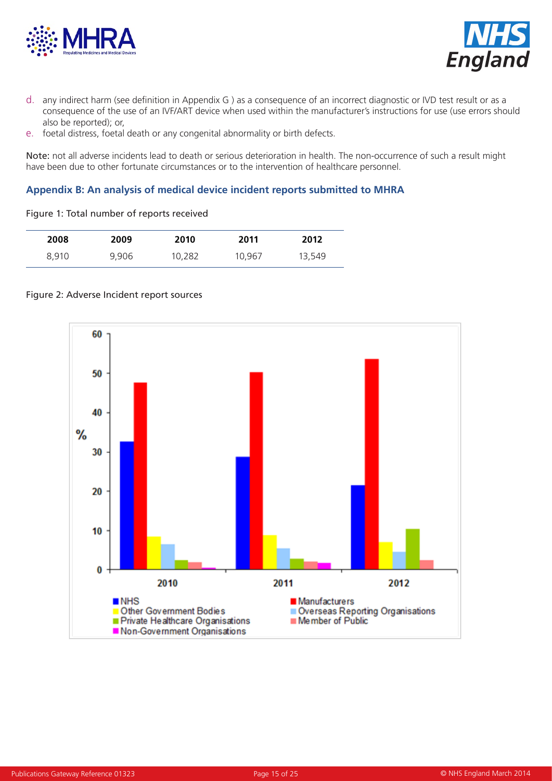



- d. any indirect harm (see definition in Appendix G ) as a consequence of an incorrect diagnostic or IVD test result or as a consequence of the use of an IVF/ART device when used within the manufacturer's instructions for use (use errors should also be reported); or,
- e. foetal distress, foetal death or any congenital abnormality or birth defects.

Note: not all adverse incidents lead to death or serious deterioration in health. The non-occurrence of such a result might have been due to other fortunate circumstances or to the intervention of healthcare personnel.

## **Appendix B: An analysis of medical device incident reports submitted to MHRA**

Figure 1: Total number of reports received

| 2008  | 2009  | 2010   | 2011   | 2012   |
|-------|-------|--------|--------|--------|
| 8,910 | 9,906 | 10,282 | 10,967 | 13,549 |



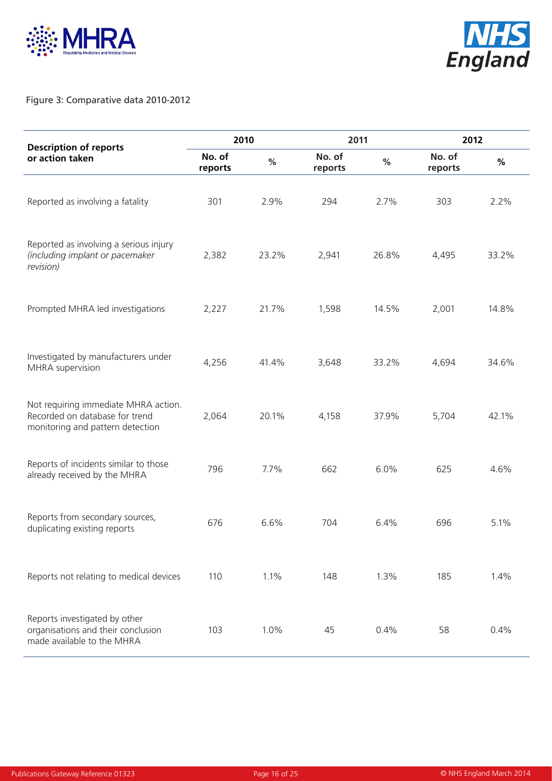



## Figure 3: Comparative data 2010-2012

| <b>Description of reports</b>                                                                              | 2010              |       |                   | 2011  |                   | 2012  |  |
|------------------------------------------------------------------------------------------------------------|-------------------|-------|-------------------|-------|-------------------|-------|--|
| or action taken                                                                                            | No. of<br>reports | $\%$  | No. of<br>reports | $\%$  | No. of<br>reports | $\%$  |  |
| Reported as involving a fatality                                                                           | 301               | 2.9%  | 294               | 2.7%  | 303               | 2.2%  |  |
| Reported as involving a serious injury<br>(including implant or pacemaker<br>revision)                     | 2,382             | 23.2% | 2,941             | 26.8% | 4,495             | 33.2% |  |
| Prompted MHRA led investigations                                                                           | 2,227             | 21.7% | 1,598             | 14.5% | 2,001             | 14.8% |  |
| Investigated by manufacturers under<br>MHRA supervision                                                    | 4,256             | 41.4% | 3,648             | 33.2% | 4,694             | 34.6% |  |
| Not requiring immediate MHRA action.<br>Recorded on database for trend<br>monitoring and pattern detection | 2,064             | 20.1% | 4,158             | 37.9% | 5,704             | 42.1% |  |
| Reports of incidents similar to those<br>already received by the MHRA                                      | 796               | 7.7%  | 662               | 6.0%  | 625               | 4.6%  |  |
| Reports from secondary sources,<br>duplicating existing reports                                            | 676               | 6.6%  | 704               | 6.4%  | 696               | 5.1%  |  |
| Reports not relating to medical devices                                                                    | 110               | 1.1%  | 148               | 1.3%  | 185               | 1.4%  |  |
| Reports investigated by other<br>organisations and their conclusion<br>made available to the MHRA          | 103               | 1.0%  | 45                | 0.4%  | 58                | 0.4%  |  |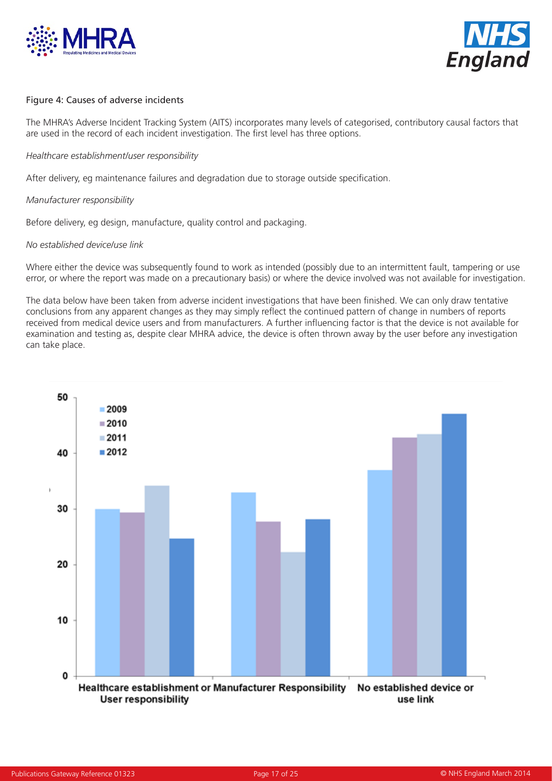



#### Figure 4: Causes of adverse incidents

The MHRA's Adverse Incident Tracking System (AITS) incorporates many levels of categorised, contributory causal factors that are used in the record of each incident investigation. The first level has three options.

#### *Healthcare establishment/user responsibility*

After delivery, eg maintenance failures and degradation due to storage outside specification.

#### *Manufacturer responsibility*

Before delivery, eg design, manufacture, quality control and packaging.

#### *No established device/use link*

Where either the device was subsequently found to work as intended (possibly due to an intermittent fault, tampering or use error, or where the report was made on a precautionary basis) or where the device involved was not available for investigation.

The data below have been taken from adverse incident investigations that have been finished. We can only draw tentative conclusions from any apparent changes as they may simply reflect the continued pattern of change in numbers of reports received from medical device users and from manufacturers. A further influencing factor is that the device is not available for examination and testing as, despite clear MHRA advice, the device is often thrown away by the user before any investigation can take place.

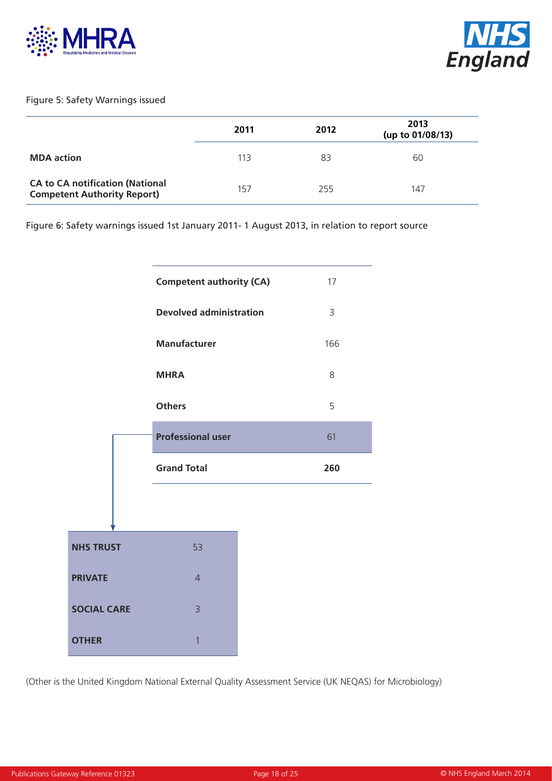



## Figure 5: Safety Warnings issued

|                                                                              | 2011 | 2012 | 2013<br>(up to 01/08/13) |
|------------------------------------------------------------------------------|------|------|--------------------------|
| <b>MDA</b> action                                                            | 113  | 83   | 60                       |
| <b>CA to CA notification (National</b><br><b>Competent Authority Report)</b> | 157  | 255  | 147                      |

Figure 6: Safety warnings issued 1st January 2011- 1 August 2013, in relation to report source



(Other is the United Kingdom National External Quality Assessment Service (UK NEQAS) for Microbiology)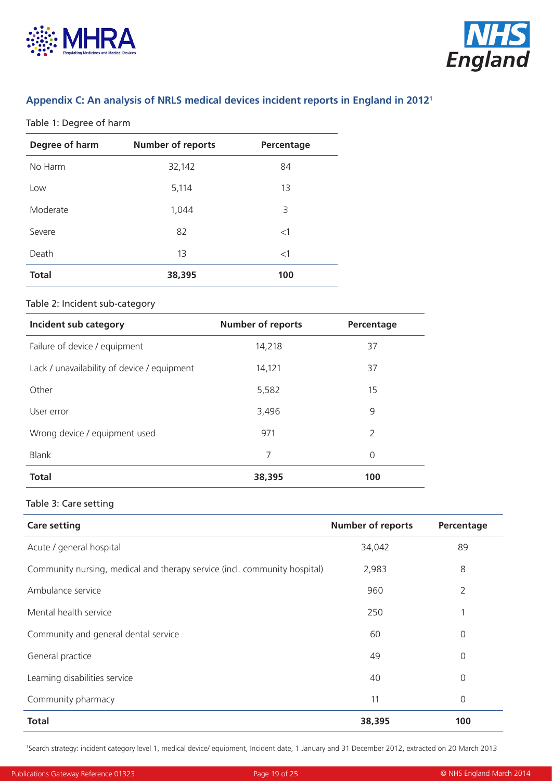



# **Appendix C: An analysis of NRLS medical devices incident reports in England in 20121**

#### Table 1: Degree of harm

| Degree of harm | <b>Number of reports</b> | Percentage |
|----------------|--------------------------|------------|
| No Harm        | 32,142                   | 84         |
| Low            | 5,114                    | 13         |
| Moderate       | 1,044                    | 3          |
| Severe         | 82                       | <1         |
| Death          | 13                       | <1         |
| <b>Total</b>   | 38,395                   | 100        |

## Table 2: Incident sub-category

| Incident sub category                       | <b>Number of reports</b> | Percentage    |
|---------------------------------------------|--------------------------|---------------|
| Failure of device / equipment               | 14,218                   | 37            |
| Lack / unavailability of device / equipment | 14,121                   | 37            |
| Other                                       | 5,582                    | 15            |
| User error                                  | 3,496                    | 9             |
| Wrong device / equipment used               | 971                      | $\mathcal{L}$ |
| <b>Blank</b>                                | 7                        | 0             |
| <b>Total</b>                                | 38,395                   | 100           |

## Table 3: Care setting

| <b>Care setting</b>                                                       | <b>Number of reports</b> | Percentage     |
|---------------------------------------------------------------------------|--------------------------|----------------|
| Acute / general hospital                                                  | 34,042                   | 89             |
| Community nursing, medical and therapy service (incl. community hospital) | 2,983                    | 8              |
| Ambulance service                                                         | 960                      | $\overline{2}$ |
| Mental health service                                                     | 250                      | 1              |
| Community and general dental service                                      | 60                       | 0              |
| General practice                                                          | 49                       | 0              |
| Learning disabilities service                                             | 40                       | 0              |
| Community pharmacy                                                        | 11                       | $\mathbf 0$    |
| <b>Total</b>                                                              | 38,395                   | 100            |

1 Search strategy: incident category level 1, medical device/ equipment, Incident date, 1 January and 31 December 2012, extracted on 20 March 2013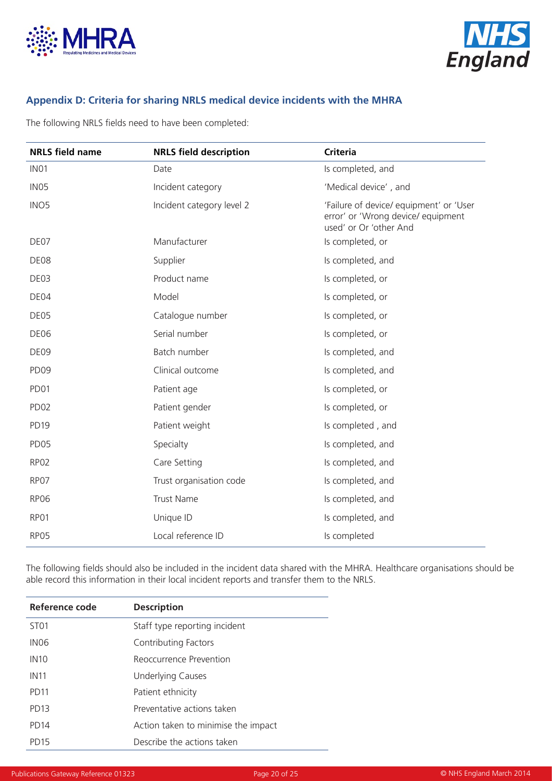



# **Appendix D: Criteria for sharing NRLS medical device incidents with the MHRA**

The following NRLS fields need to have been completed:

| <b>NRLS field name</b> | <b>NRLS field description</b> | <b>Criteria</b>                                                                                         |
|------------------------|-------------------------------|---------------------------------------------------------------------------------------------------------|
| IN <sub>01</sub>       | Date                          | Is completed, and                                                                                       |
| IN <sub>05</sub>       | Incident category             | 'Medical device', and                                                                                   |
| INO <sub>5</sub>       | Incident category level 2     | 'Failure of device/ equipment' or 'User<br>error' or 'Wrong device/ equipment<br>used' or Or 'other And |
| DE07                   | Manufacturer                  | Is completed, or                                                                                        |
| DE08                   | Supplier                      | Is completed, and                                                                                       |
| DE03                   | Product name                  | Is completed, or                                                                                        |
| DE04                   | Model                         | Is completed, or                                                                                        |
| DE05                   | Catalogue number              | Is completed, or                                                                                        |
| DE06                   | Serial number                 | Is completed, or                                                                                        |
| DE09                   | Batch number                  | Is completed, and                                                                                       |
| PD <sub>09</sub>       | Clinical outcome              | Is completed, and                                                                                       |
| PD01                   | Patient age                   | Is completed, or                                                                                        |
| PD <sub>02</sub>       | Patient gender                | Is completed, or                                                                                        |
| PD <sub>19</sub>       | Patient weight                | Is completed, and                                                                                       |
| PD <sub>05</sub>       | Specialty                     | Is completed, and                                                                                       |
| RP02                   | Care Setting                  | Is completed, and                                                                                       |
| RP07                   | Trust organisation code       | Is completed, and                                                                                       |
| <b>RP06</b>            | <b>Trust Name</b>             | Is completed, and                                                                                       |
| RP01                   | Unique ID                     | Is completed, and                                                                                       |
| RP05                   | Local reference ID            | Is completed                                                                                            |

The following fields should also be included in the incident data shared with the MHRA. Healthcare organisations should be able record this information in their local incident reports and transfer them to the NRLS.

| Reference code   | <b>Description</b>                  |
|------------------|-------------------------------------|
| ST <sub>01</sub> | Staff type reporting incident       |
| IN <sub>06</sub> | Contributing Factors                |
| IN <sub>10</sub> | Reoccurrence Prevention             |
| <b>IN11</b>      | <b>Underlying Causes</b>            |
| <b>PD11</b>      | Patient ethnicity                   |
| <b>PD13</b>      | Preventative actions taken          |
| PD <sub>14</sub> | Action taken to minimise the impact |
| <b>PD15</b>      | Describe the actions taken          |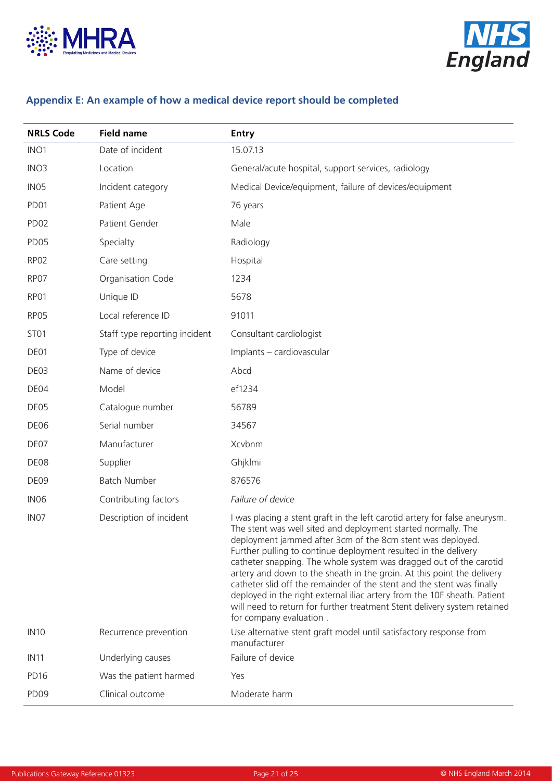



# **Appendix E: An example of how a medical device report should be completed**

| <b>NRLS Code</b> | <b>Field name</b>             | <b>Entry</b>                                                                                                                                                                                                                                                                                                                                                                                                                                                                                                                                                                                                                                                                              |
|------------------|-------------------------------|-------------------------------------------------------------------------------------------------------------------------------------------------------------------------------------------------------------------------------------------------------------------------------------------------------------------------------------------------------------------------------------------------------------------------------------------------------------------------------------------------------------------------------------------------------------------------------------------------------------------------------------------------------------------------------------------|
| INO <sub>1</sub> | Date of incident              | 15.07.13                                                                                                                                                                                                                                                                                                                                                                                                                                                                                                                                                                                                                                                                                  |
| INO <sub>3</sub> | Location                      | General/acute hospital, support services, radiology                                                                                                                                                                                                                                                                                                                                                                                                                                                                                                                                                                                                                                       |
| IN <sub>05</sub> | Incident category             | Medical Device/equipment, failure of devices/equipment                                                                                                                                                                                                                                                                                                                                                                                                                                                                                                                                                                                                                                    |
| PD <sub>01</sub> | Patient Age                   | 76 years                                                                                                                                                                                                                                                                                                                                                                                                                                                                                                                                                                                                                                                                                  |
| PD <sub>02</sub> | Patient Gender                | Male                                                                                                                                                                                                                                                                                                                                                                                                                                                                                                                                                                                                                                                                                      |
| PD <sub>05</sub> | Specialty                     | Radiology                                                                                                                                                                                                                                                                                                                                                                                                                                                                                                                                                                                                                                                                                 |
| RP <sub>02</sub> | Care setting                  | Hospital                                                                                                                                                                                                                                                                                                                                                                                                                                                                                                                                                                                                                                                                                  |
| RP07             | Organisation Code             | 1234                                                                                                                                                                                                                                                                                                                                                                                                                                                                                                                                                                                                                                                                                      |
| RP01             | Unique ID                     | 5678                                                                                                                                                                                                                                                                                                                                                                                                                                                                                                                                                                                                                                                                                      |
| RP05             | Local reference ID            | 91011                                                                                                                                                                                                                                                                                                                                                                                                                                                                                                                                                                                                                                                                                     |
| ST <sub>01</sub> | Staff type reporting incident | Consultant cardiologist                                                                                                                                                                                                                                                                                                                                                                                                                                                                                                                                                                                                                                                                   |
| DE01             | Type of device                | Implants - cardiovascular                                                                                                                                                                                                                                                                                                                                                                                                                                                                                                                                                                                                                                                                 |
| DE03             | Name of device                | Abcd                                                                                                                                                                                                                                                                                                                                                                                                                                                                                                                                                                                                                                                                                      |
| DE04             | Model                         | ef1234                                                                                                                                                                                                                                                                                                                                                                                                                                                                                                                                                                                                                                                                                    |
| DE05             | Catalogue number              | 56789                                                                                                                                                                                                                                                                                                                                                                                                                                                                                                                                                                                                                                                                                     |
| DE06             | Serial number                 | 34567                                                                                                                                                                                                                                                                                                                                                                                                                                                                                                                                                                                                                                                                                     |
| DE07             | Manufacturer                  | Xcvbnm                                                                                                                                                                                                                                                                                                                                                                                                                                                                                                                                                                                                                                                                                    |
| DE08             | Supplier                      | Ghjklmi                                                                                                                                                                                                                                                                                                                                                                                                                                                                                                                                                                                                                                                                                   |
| DE09             | <b>Batch Number</b>           | 876576                                                                                                                                                                                                                                                                                                                                                                                                                                                                                                                                                                                                                                                                                    |
| IN <sub>06</sub> | Contributing factors          | Failure of device                                                                                                                                                                                                                                                                                                                                                                                                                                                                                                                                                                                                                                                                         |
| IN <sub>07</sub> | Description of incident       | I was placing a stent graft in the left carotid artery for false aneurysm.<br>The stent was well sited and deployment started normally. The<br>deployment jammed after 3cm of the 8cm stent was deployed.<br>Further pulling to continue deployment resulted in the delivery<br>catheter snapping. The whole system was dragged out of the carotid<br>artery and down to the sheath in the groin. At this point the delivery<br>catheter slid off the remainder of the stent and the stent was finally<br>deployed in the right external iliac artery from the 10F sheath. Patient<br>will need to return for further treatment Stent delivery system retained<br>for company evaluation. |
| <b>IN10</b>      | Recurrence prevention         | Use alternative stent graft model until satisfactory response from<br>manufacturer                                                                                                                                                                                                                                                                                                                                                                                                                                                                                                                                                                                                        |
| <b>IN11</b>      | Underlying causes             | Failure of device                                                                                                                                                                                                                                                                                                                                                                                                                                                                                                                                                                                                                                                                         |
| PD <sub>16</sub> | Was the patient harmed        | Yes                                                                                                                                                                                                                                                                                                                                                                                                                                                                                                                                                                                                                                                                                       |
| PD <sub>09</sub> | Clinical outcome              | Moderate harm                                                                                                                                                                                                                                                                                                                                                                                                                                                                                                                                                                                                                                                                             |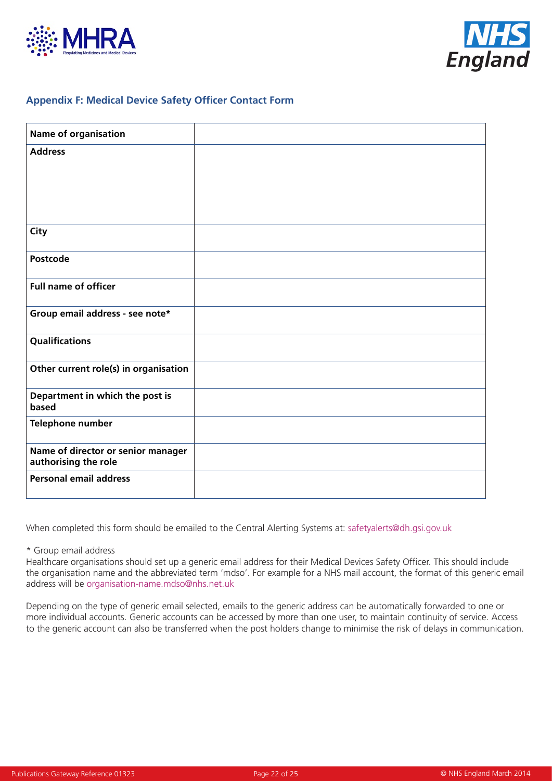



## **Appendix F: Medical Device Safety Officer Contact Form**

| <b>Name of organisation</b>                                |  |
|------------------------------------------------------------|--|
| <b>Address</b>                                             |  |
|                                                            |  |
|                                                            |  |
|                                                            |  |
| City                                                       |  |
| Postcode                                                   |  |
| <b>Full name of officer</b>                                |  |
| Group email address - see note*                            |  |
| Qualifications                                             |  |
| Other current role(s) in organisation                      |  |
| Department in which the post is<br>based                   |  |
| Telephone number                                           |  |
| Name of director or senior manager<br>authorising the role |  |
| <b>Personal email address</b>                              |  |

When completed this form should be emailed to the Central Alerting Systems at: safetyalerts@dh.gsi.gov.uk

\* Group email address

Healthcare organisations should set up a generic email address for their Medical Devices Safety Officer. This should include the organisation name and the abbreviated term 'mdso'. For example for a NHS mail account, the format of this generic email address will be organisation-name.mdso@nhs.net.uk

Depending on the type of generic email selected, emails to the generic address can be automatically forwarded to one or more individual accounts. Generic accounts can be accessed by more than one user, to maintain continuity of service. Access to the generic account can also be transferred when the post holders change to minimise the risk of delays in communication.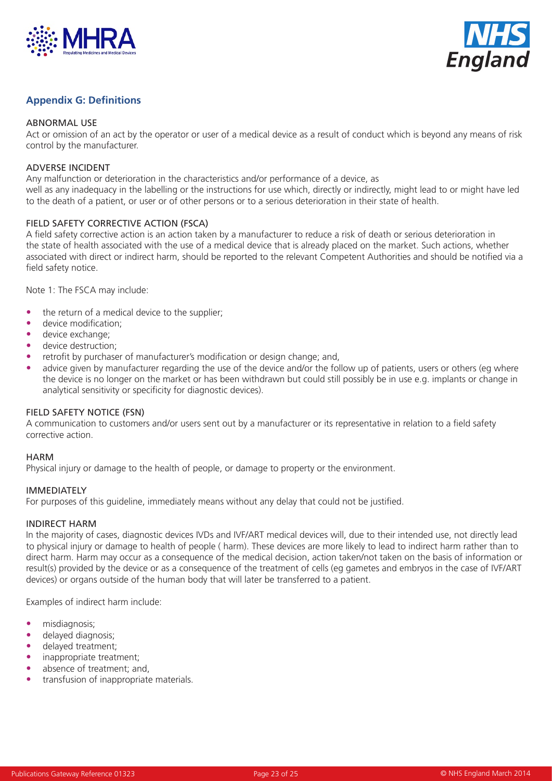



## **Appendix G: Definitions**

#### ABNORMAL USE

Act or omission of an act by the operator or user of a medical device as a result of conduct which is beyond any means of risk control by the manufacturer.

#### ADVERSE INCIDENT

Any malfunction or deterioration in the characteristics and/or performance of a device, as well as any inadequacy in the labelling or the instructions for use which, directly or indirectly, might lead to or might have led to the death of a patient, or user or of other persons or to a serious deterioration in their state of health.

#### FIELD SAFETY CORRECTIVE ACTION (FSCA)

A field safety corrective action is an action taken by a manufacturer to reduce a risk of death or serious deterioration in the state of health associated with the use of a medical device that is already placed on the market. Such actions, whether associated with direct or indirect harm, should be reported to the relevant Competent Authorities and should be notified via a field safety notice.

Note 1: The FSCA may include:

- the return of a medical device to the supplier;
- device modification;
- device exchange;
- device destruction;
- retrofit by purchaser of manufacturer's modification or design change; and,
- advice given by manufacturer regarding the use of the device and/or the follow up of patients, users or others (eg where the device is no longer on the market or has been withdrawn but could still possibly be in use e.g. implants or change in analytical sensitivity or specificity for diagnostic devices).

#### FIELD SAFETY NOTICE (FSN)

A communication to customers and/or users sent out by a manufacturer or its representative in relation to a field safety corrective action.

#### **HARM**

Physical injury or damage to the health of people, or damage to property or the environment.

#### IMMEDIATELY

For purposes of this guideline, immediately means without any delay that could not be justified.

#### INDIRECT HARM

In the majority of cases, diagnostic devices IVDs and IVF/ART medical devices will, due to their intended use, not directly lead to physical injury or damage to health of people ( harm). These devices are more likely to lead to indirect harm rather than to direct harm. Harm may occur as a consequence of the medical decision, action taken/not taken on the basis of information or result(s) provided by the device or as a consequence of the treatment of cells (eg gametes and embryos in the case of IVF/ART devices) or organs outside of the human body that will later be transferred to a patient.

Examples of indirect harm include:

- misdiagnosis;
- delayed diagnosis;
- delayed treatment;
- inappropriate treatment;
- absence of treatment; and,
- transfusion of inappropriate materials.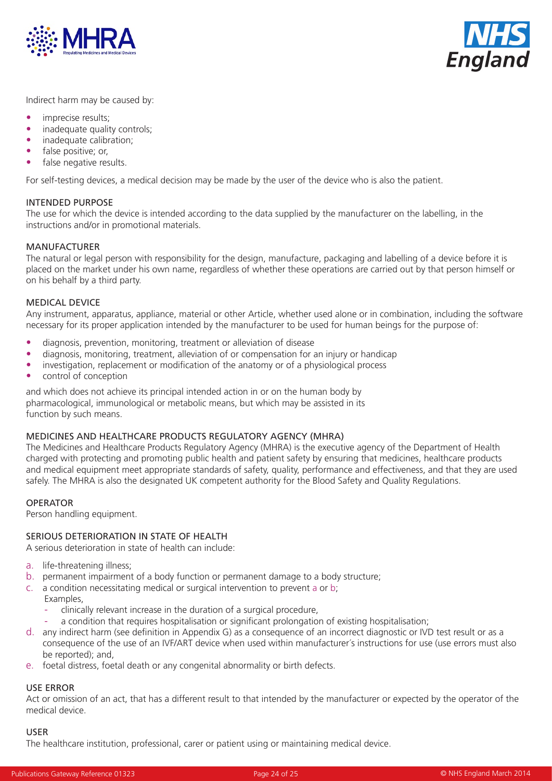



Indirect harm may be caused by:

- imprecise results:
- inadequate quality controls:
- inadequate calibration:
- false positive: or,
- false negative results.

For self-testing devices, a medical decision may be made by the user of the device who is also the patient.

#### INTENDED PURPOSE

The use for which the device is intended according to the data supplied by the manufacturer on the labelling, in the instructions and/or in promotional materials.

#### MANUFACTURER

The natural or legal person with responsibility for the design, manufacture, packaging and labelling of a device before it is placed on the market under his own name, regardless of whether these operations are carried out by that person himself or on his behalf by a third party.

#### MEDICAL DEVICE

Any instrument, apparatus, appliance, material or other Article, whether used alone or in combination, including the software necessary for its proper application intended by the manufacturer to be used for human beings for the purpose of:

- diagnosis, prevention, monitoring, treatment or alleviation of disease
- diagnosis, monitoring, treatment, alleviation of or compensation for an injury or handicap
- investigation, replacement or modification of the anatomy or of a physiological process
- control of conception

and which does not achieve its principal intended action in or on the human body by pharmacological, immunological or metabolic means, but which may be assisted in its function by such means.

#### MEDICINES AND HEALTHCARE PRODUCTS REGULATORY AGENCY (MHRA)

The Medicines and Healthcare Products Regulatory Agency (MHRA) is the executive agency of the Department of Health charged with protecting and promoting public health and patient safety by ensuring that medicines, healthcare products and medical equipment meet appropriate standards of safety, quality, performance and effectiveness, and that they are used safely. The MHRA is also the designated UK competent authority for the Blood Safety and Quality Regulations.

#### OPERATOR

Person handling equipment.

#### SERIOUS DETERIORATION IN STATE OF HEALTH

A serious deterioration in state of health can include:

- a. life-threatening illness;
- b. permanent impairment of a body function or permanent damage to a body structure;
- c. a condition necessitating medical or surgical intervention to prevent a or b;
	- Examples,
		- clinically relevant increase in the duration of a surgical procedure,
	- a condition that requires hospitalisation or significant prolongation of existing hospitalisation;
- d. any indirect harm (see definition in Appendix G) as a consequence of an incorrect diagnostic or IVD test result or as a consequence of the use of an IVF/ART device when used within manufacturer´s instructions for use (use errors must also be reported); and,
- e. foetal distress, foetal death or any congenital abnormality or birth defects.

# USE ERROR

Act or omission of an act, that has a different result to that intended by the manufacturer or expected by the operator of the medical device.

#### USER

The healthcare institution, professional, carer or patient using or maintaining medical device.